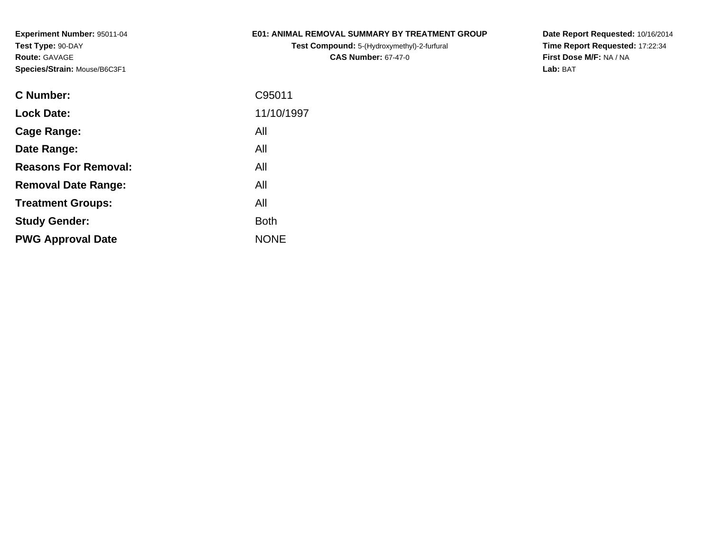## **E01: ANIMAL REMOVAL SUMMARY BY TREATMENT GROUP**

**Test Compound:** 5-(Hydroxymethyl)-2-furfural **CAS Number:** 67-47-0

**Date Report Requested:** 10/16/2014 **Time Report Requested:** 17:22:34**First Dose M/F:** NA / NA**Lab:** BAT

| <b>C</b> Number:            | C95011      |
|-----------------------------|-------------|
| <b>Lock Date:</b>           | 11/10/1997  |
| Cage Range:                 | All         |
| Date Range:                 | All         |
| <b>Reasons For Removal:</b> | All         |
| <b>Removal Date Range:</b>  | All         |
| <b>Treatment Groups:</b>    | All         |
| <b>Study Gender:</b>        | <b>Both</b> |
| <b>PWG Approval Date</b>    | <b>NONE</b> |
|                             |             |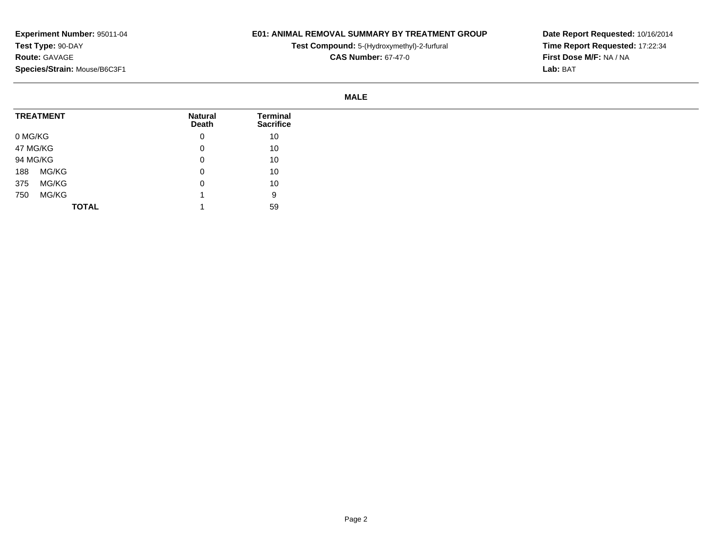### **E01: ANIMAL REMOVAL SUMMARY BY TREATMENT GROUP**

**Test Compound:** 5-(Hydroxymethyl)-2-furfural

**CAS Number:** 67-47-0

**Date Report Requested:** 10/16/2014**Time Report Requested:** 17:22:34**First Dose M/F:** NA / NA**Lab:** BAT

#### **MALE**

|         | <b>TREATMENT</b> | <b>Natural</b><br>Death | <b>Terminal</b><br><b>Sacrifice</b> |
|---------|------------------|-------------------------|-------------------------------------|
| 0 MG/KG |                  | 0                       | 10                                  |
|         | 47 MG/KG         | 0                       | 10                                  |
|         | 94 MG/KG         | 0                       | 10                                  |
| 188     | MG/KG            | 0                       | 10                                  |
| 375     | MG/KG            | 0                       | 10                                  |
| 750     | MG/KG            |                         | 9                                   |
|         | <b>TOTAL</b>     |                         | 59                                  |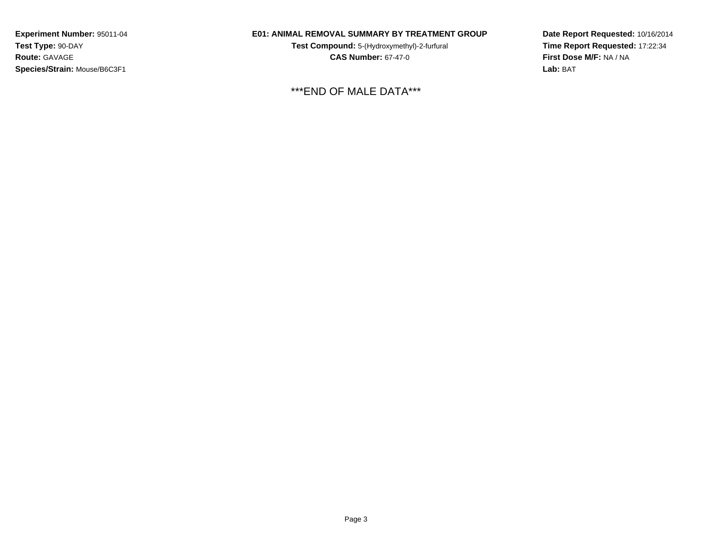## **E01: ANIMAL REMOVAL SUMMARY BY TREATMENT GROUP**

**Test Compound:** 5-(Hydroxymethyl)-2-furfural **CAS Number:** 67-47-0

\*\*\*END OF MALE DATA\*\*\*

**Date Report Requested:** 10/16/2014**Time Report Requested:** 17:22:34**First Dose M/F:** NA / NA**Lab:** BAT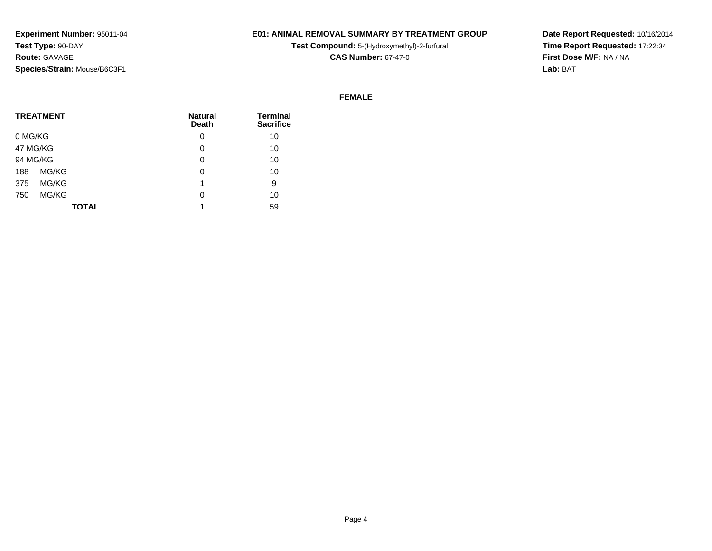## **E01: ANIMAL REMOVAL SUMMARY BY TREATMENT GROUP**

**Test Compound:** 5-(Hydroxymethyl)-2-furfural

**CAS Number:** 67-47-0

**Date Report Requested:** 10/16/2014**Time Report Requested:** 17:22:34**First Dose M/F:** NA / NA**Lab:** BAT

### **FEMALE**

| <b>TREATMENT</b> |              | <b>Natural</b><br><b>Death</b> | Terminal<br><b>Sacrifice</b> |
|------------------|--------------|--------------------------------|------------------------------|
| 0 MG/KG          |              | 0                              | 10                           |
| 47 MG/KG         |              | 0                              | 10                           |
| 94 MG/KG         |              | 0                              | 10                           |
| MG/KG<br>188     |              | 0                              | 10                           |
| 375<br>MG/KG     |              |                                | 9                            |
| MG/KG<br>750     |              | 0                              | 10                           |
|                  | <b>TOTAL</b> |                                | 59                           |